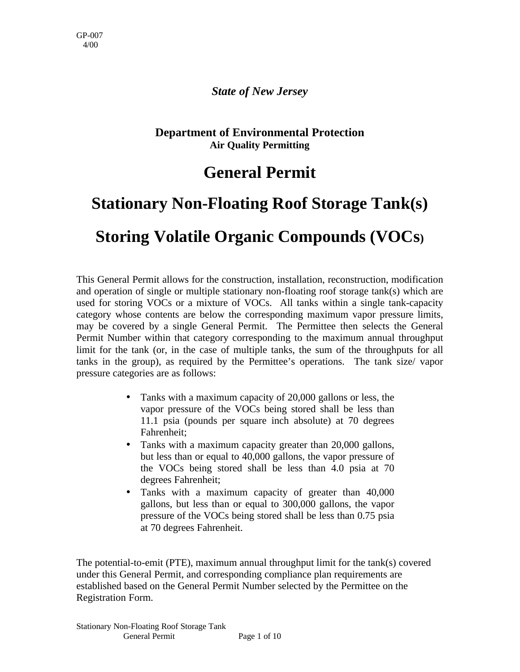#### *State of New Jersey*

#### **Department of Environmental Protection Air Quality Permitting**

### **General Permit**

# **Stationary Non-Floating Roof Storage Tank(s)**

# **Storing Volatile Organic Compounds (VOCs)**

This General Permit allows for the construction, installation, reconstruction, modification and operation of single or multiple stationary non-floating roof storage tank(s) which are used for storing VOCs or a mixture of VOCs. All tanks within a single tank-capacity category whose contents are below the corresponding maximum vapor pressure limits, may be covered by a single General Permit. The Permittee then selects the General Permit Number within that category corresponding to the maximum annual throughput limit for the tank (or, in the case of multiple tanks, the sum of the throughputs for all tanks in the group), as required by the Permittee's operations. The tank size/ vapor pressure categories are as follows:

- Tanks with a maximum capacity of 20,000 gallons or less, the vapor pressure of the VOCs being stored shall be less than 11.1 psia (pounds per square inch absolute) at 70 degrees Fahrenheit;
- Tanks with a maximum capacity greater than 20,000 gallons, but less than or equal to 40,000 gallons, the vapor pressure of the VOCs being stored shall be less than 4.0 psia at 70 degrees Fahrenheit;
- Tanks with a maximum capacity of greater than 40,000 gallons, but less than or equal to 300,000 gallons, the vapor pressure of the VOCs being stored shall be less than 0.75 psia at 70 degrees Fahrenheit.

The potential-to-emit (PTE), maximum annual throughput limit for the tank(s) covered under this General Permit, and corresponding compliance plan requirements are established based on the General Permit Number selected by the Permittee on the Registration Form.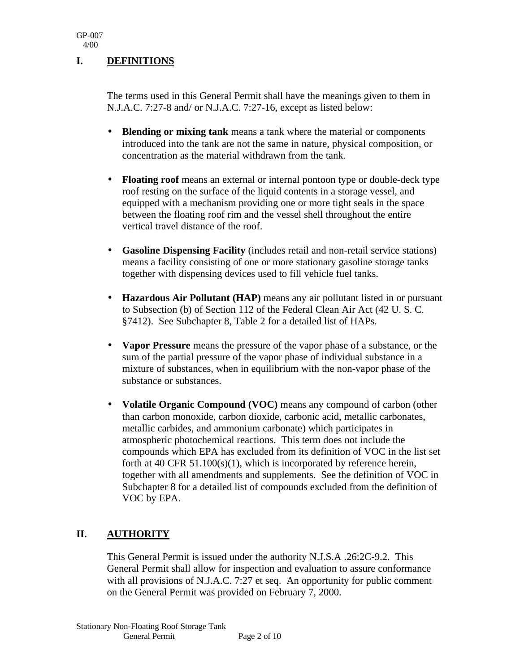#### **I. DEFINITIONS**

The terms used in this General Permit shall have the meanings given to them in N.J.A.C. 7:27-8 and/ or N.J.A.C. 7:27-16, except as listed below:

- **Blending or mixing tank** means a tank where the material or components introduced into the tank are not the same in nature, physical composition, or concentration as the material withdrawn from the tank.
- **Floating roof** means an external or internal pontoon type or double-deck type roof resting on the surface of the liquid contents in a storage vessel, and equipped with a mechanism providing one or more tight seals in the space between the floating roof rim and the vessel shell throughout the entire vertical travel distance of the roof.
- **Gasoline Dispensing Facility** (includes retail and non-retail service stations) means a facility consisting of one or more stationary gasoline storage tanks together with dispensing devices used to fill vehicle fuel tanks.
- **Hazardous Air Pollutant (HAP)** means any air pollutant listed in or pursuant to Subsection (b) of Section 112 of the Federal Clean Air Act (42 U. S. C. §7412). See Subchapter 8, Table 2 for a detailed list of HAPs.
- **Vapor Pressure** means the pressure of the vapor phase of a substance, or the sum of the partial pressure of the vapor phase of individual substance in a mixture of substances, when in equilibrium with the non-vapor phase of the substance or substances.
- **Volatile Organic Compound (VOC)** means any compound of carbon (other than carbon monoxide, carbon dioxide, carbonic acid, metallic carbonates, metallic carbides, and ammonium carbonate) which participates in atmospheric photochemical reactions. This term does not include the compounds which EPA has excluded from its definition of VOC in the list set forth at 40 CFR 51.100(s)(1), which is incorporated by reference herein, together with all amendments and supplements. See the definition of VOC in Subchapter 8 for a detailed list of compounds excluded from the definition of VOC by EPA.

#### **II. AUTHORITY**

This General Permit is issued under the authority N.J.S.A .26:2C-9.2. This General Permit shall allow for inspection and evaluation to assure conformance with all provisions of N.J.A.C. 7:27 et seq. An opportunity for public comment on the General Permit was provided on February 7, 2000.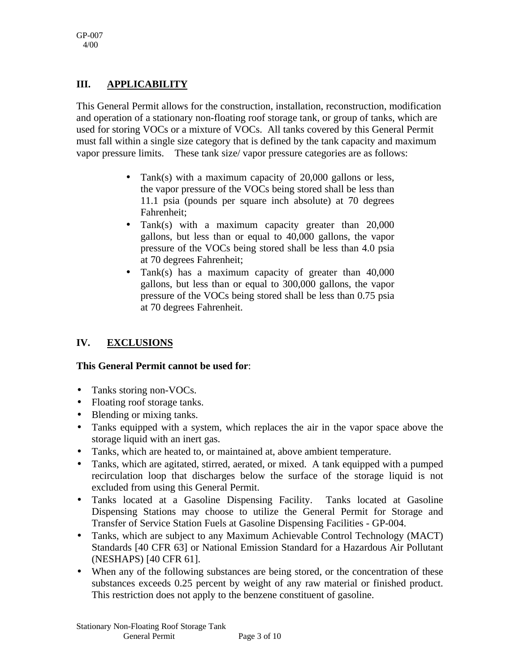#### **III. APPLICABILITY**

This General Permit allows for the construction, installation, reconstruction, modification and operation of a stationary non-floating roof storage tank, or group of tanks, which are used for storing VOCs or a mixture of VOCs. All tanks covered by this General Permit must fall within a single size category that is defined by the tank capacity and maximum vapor pressure limits. These tank size/ vapor pressure categories are as follows:

- Tank(s) with a maximum capacity of 20,000 gallons or less, the vapor pressure of the VOCs being stored shall be less than 11.1 psia (pounds per square inch absolute) at 70 degrees Fahrenheit;
- Tank(s) with a maximum capacity greater than 20,000 gallons, but less than or equal to 40,000 gallons, the vapor pressure of the VOCs being stored shall be less than 4.0 psia at 70 degrees Fahrenheit;
- Tank(s) has a maximum capacity of greater than 40,000 gallons, but less than or equal to 300,000 gallons, the vapor pressure of the VOCs being stored shall be less than 0.75 psia at 70 degrees Fahrenheit.

#### **IV. EXCLUSIONS**

#### **This General Permit cannot be used for**:

- Tanks storing non-VOCs.
- Floating roof storage tanks.
- Blending or mixing tanks.
- Tanks equipped with a system, which replaces the air in the vapor space above the storage liquid with an inert gas.
- Tanks, which are heated to, or maintained at, above ambient temperature.
- Tanks, which are agitated, stirred, aerated, or mixed. A tank equipped with a pumped recirculation loop that discharges below the surface of the storage liquid is not excluded from using this General Permit.
- Tanks located at a Gasoline Dispensing Facility. Tanks located at Gasoline Dispensing Stations may choose to utilize the General Permit for Storage and Transfer of Service Station Fuels at Gasoline Dispensing Facilities - GP-004.
- Tanks, which are subject to any Maximum Achievable Control Technology (MACT) Standards [40 CFR 63] or National Emission Standard for a Hazardous Air Pollutant (NESHAPS) [40 CFR 61].
- When any of the following substances are being stored, or the concentration of these substances exceeds 0.25 percent by weight of any raw material or finished product. This restriction does not apply to the benzene constituent of gasoline.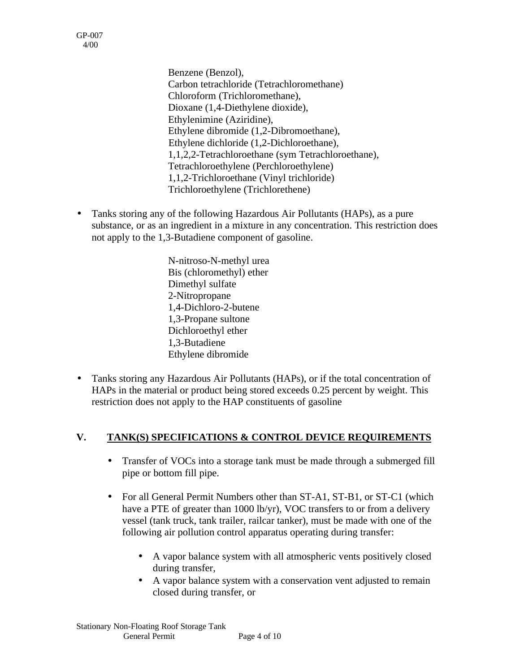GP-007 4/00

> Benzene (Benzol), Carbon tetrachloride (Tetrachloromethane) Chloroform (Trichloromethane), Dioxane (1,4-Diethylene dioxide), Ethylenimine (Aziridine), Ethylene dibromide (1,2-Dibromoethane), Ethylene dichloride (1,2-Dichloroethane), 1,1,2,2-Tetrachloroethane (sym Tetrachloroethane), Tetrachloroethylene (Perchloroethylene) 1,1,2-Trichloroethane (Vinyl trichloride) Trichloroethylene (Trichlorethene)

• Tanks storing any of the following Hazardous Air Pollutants (HAPs), as a pure substance, or as an ingredient in a mixture in any concentration. This restriction does not apply to the 1,3-Butadiene component of gasoline.

> N-nitroso-N-methyl urea Bis (chloromethyl) ether Dimethyl sulfate 2-Nitropropane 1,4-Dichloro-2-butene 1,3-Propane sultone Dichloroethyl ether 1,3-Butadiene Ethylene dibromide

• Tanks storing any Hazardous Air Pollutants (HAPs), or if the total concentration of HAPs in the material or product being stored exceeds 0.25 percent by weight. This restriction does not apply to the HAP constituents of gasoline

#### **V. TANK(S) SPECIFICATIONS & CONTROL DEVICE REQUIREMENTS**

- Transfer of VOCs into a storage tank must be made through a submerged fill pipe or bottom fill pipe.
- For all General Permit Numbers other than ST-A1, ST-B1, or ST-C1 (which have a PTE of greater than 1000 lb/yr), VOC transfers to or from a delivery vessel (tank truck, tank trailer, railcar tanker), must be made with one of the following air pollution control apparatus operating during transfer:
	- A vapor balance system with all atmospheric vents positively closed during transfer,
	- A vapor balance system with a conservation vent adjusted to remain closed during transfer, or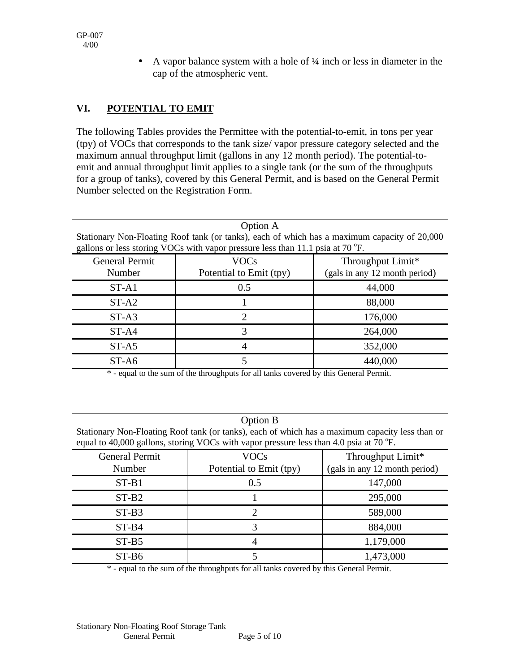• A vapor balance system with a hole of  $\frac{1}{4}$  inch or less in diameter in the cap of the atmospheric vent.

### **VI. POTENTIAL TO EMIT**

The following Tables provides the Permittee with the potential-to-emit, in tons per year (tpy) of VOCs that corresponds to the tank size/ vapor pressure category selected and the maximum annual throughput limit (gallons in any 12 month period). The potential-toemit and annual throughput limit applies to a single tank (or the sum of the throughputs for a group of tanks), covered by this General Permit, and is based on the General Permit Number selected on the Registration Form.

| Option A                                                                                                                                                                       |                         |                               |  |
|--------------------------------------------------------------------------------------------------------------------------------------------------------------------------------|-------------------------|-------------------------------|--|
| Stationary Non-Floating Roof tank (or tanks), each of which has a maximum capacity of 20,000<br>gallons or less storing VOCs with vapor pressure less than 11.1 psia at 70 °F. |                         |                               |  |
|                                                                                                                                                                                |                         |                               |  |
| <b>General Permit</b>                                                                                                                                                          | <b>VOCs</b>             | Throughput Limit*             |  |
| Number                                                                                                                                                                         | Potential to Emit (tpy) | (gals in any 12 month period) |  |
| $ST-A1$                                                                                                                                                                        | 0.5                     | 44,000                        |  |
| $ST-A2$                                                                                                                                                                        |                         | 88,000                        |  |
| $ST-A3$                                                                                                                                                                        | 2                       | 176,000                       |  |
| $ST-A4$                                                                                                                                                                        | 3                       | 264,000                       |  |
| $ST-A5$                                                                                                                                                                        | 4                       | 352,000                       |  |
| ST-A6                                                                                                                                                                          | 5                       | 440,000                       |  |

\* - equal to the sum of the throughputs for all tanks covered by this General Permit.

| <b>Option B</b><br>Stationary Non-Floating Roof tank (or tanks), each of which has a maximum capacity less than or<br>equal to 40,000 gallons, storing VOCs with vapor pressure less than 4.0 psia at 70 $\degree$ F. |                         |                               |  |  |
|-----------------------------------------------------------------------------------------------------------------------------------------------------------------------------------------------------------------------|-------------------------|-------------------------------|--|--|
| <b>General Permit</b>                                                                                                                                                                                                 | <b>VOCs</b>             | Throughput Limit*             |  |  |
| Number                                                                                                                                                                                                                | Potential to Emit (tpy) | (gals in any 12 month period) |  |  |
| $ST-B1$                                                                                                                                                                                                               | 0.5                     | 147,000                       |  |  |
| $ST-B2$                                                                                                                                                                                                               |                         | 295,000                       |  |  |
| $ST-B3$                                                                                                                                                                                                               | $\mathfrak{D}_{\cdot}$  | 589,000                       |  |  |
| $ST-B4$                                                                                                                                                                                                               | 3                       | 884,000                       |  |  |
| $ST-B5$                                                                                                                                                                                                               | 4                       | 1,179,000                     |  |  |
| $ST-B6$                                                                                                                                                                                                               |                         | 1,473,000                     |  |  |

\* - equal to the sum of the throughputs for all tanks covered by this General Permit.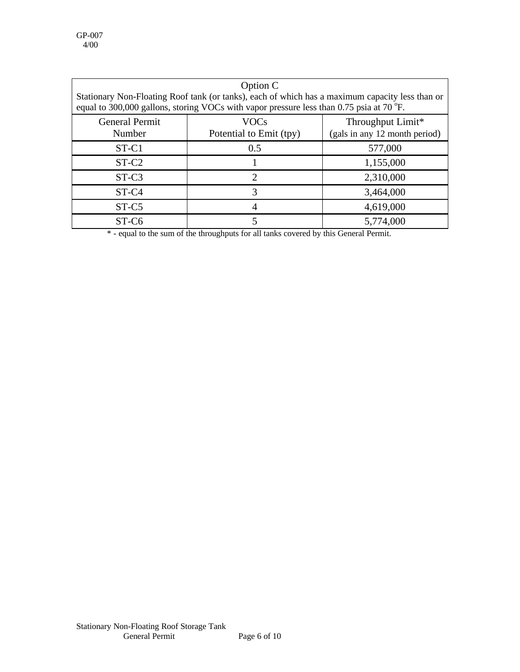| Option C<br>Stationary Non-Floating Roof tank (or tanks), each of which has a maximum capacity less than or<br>equal to 300,000 gallons, storing VOCs with vapor pressure less than 0.75 psia at 70 $\degree$ F. |                                                                                              |           |  |  |
|------------------------------------------------------------------------------------------------------------------------------------------------------------------------------------------------------------------|----------------------------------------------------------------------------------------------|-----------|--|--|
| <b>General Permit</b><br>Number                                                                                                                                                                                  | <b>VOCs</b><br>Throughput Limit*<br>Potential to Emit (tpy)<br>(gals in any 12 month period) |           |  |  |
| $ST-C1$                                                                                                                                                                                                          | 0.5                                                                                          | 577,000   |  |  |
| $ST-C2$                                                                                                                                                                                                          |                                                                                              | 1,155,000 |  |  |
| $ST-C3$                                                                                                                                                                                                          | 2                                                                                            | 2,310,000 |  |  |
| ST-C <sub>4</sub>                                                                                                                                                                                                | 3                                                                                            | 3,464,000 |  |  |
| ST-C5                                                                                                                                                                                                            |                                                                                              | 4,619,000 |  |  |
| ST-C <sub>6</sub>                                                                                                                                                                                                |                                                                                              | 5,774,000 |  |  |

\* - equal to the sum of the throughputs for all tanks covered by this General Permit.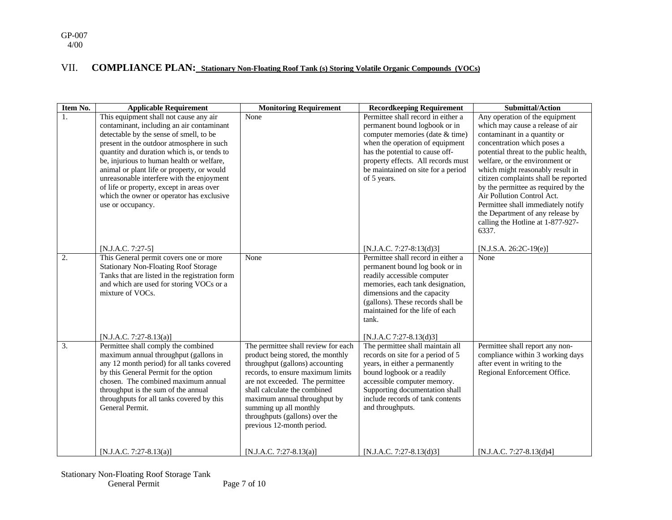#### VII. **COMPLIANCE PLAN: Stationary Non-Floating Roof Tank (s) Storing Volatile Organic Compounds (VOCs)**

| <b>Item No.</b>  | <b>Applicable Requirement</b>                                                                                                                                                                                                                                                                                                                                                                                                                                                     | <b>Monitoring Requirement</b>                                                                                                                                                                                                                                                                                                                | <b>Recordkeeping Requirement</b>                                                                                                                                                                                                                                                   | <b>Submittal/Action</b>                                                                                                                                                                                                                                                                                                                                                                                                                                                                |
|------------------|-----------------------------------------------------------------------------------------------------------------------------------------------------------------------------------------------------------------------------------------------------------------------------------------------------------------------------------------------------------------------------------------------------------------------------------------------------------------------------------|----------------------------------------------------------------------------------------------------------------------------------------------------------------------------------------------------------------------------------------------------------------------------------------------------------------------------------------------|------------------------------------------------------------------------------------------------------------------------------------------------------------------------------------------------------------------------------------------------------------------------------------|----------------------------------------------------------------------------------------------------------------------------------------------------------------------------------------------------------------------------------------------------------------------------------------------------------------------------------------------------------------------------------------------------------------------------------------------------------------------------------------|
| $\mathbf{1}$ .   | This equipment shall not cause any air<br>contaminant, including an air contaminant<br>detectable by the sense of smell, to be<br>present in the outdoor atmosphere in such<br>quantity and duration which is, or tends to<br>be, injurious to human health or welfare,<br>animal or plant life or property, or would<br>unreasonable interfere with the enjoyment<br>of life or property, except in areas over<br>which the owner or operator has exclusive<br>use or occupancy. | None                                                                                                                                                                                                                                                                                                                                         | Permittee shall record in either a<br>permanent bound logbook or in<br>computer memories (date & time)<br>when the operation of equipment<br>has the potential to cause off-<br>property effects. All records must<br>be maintained on site for a period<br>of 5 years.            | Any operation of the equipment<br>which may cause a release of air<br>contaminant in a quantity or<br>concentration which poses a<br>potential threat to the public health,<br>welfare, or the environment or<br>which might reasonably result in<br>citizen complaints shall be reported<br>by the permittee as required by the<br>Air Pollution Control Act.<br>Permittee shall immediately notify<br>the Department of any release by<br>calling the Hotline at 1-877-927-<br>6337. |
|                  | $[N.J.A.C. 7:27-5]$                                                                                                                                                                                                                                                                                                                                                                                                                                                               |                                                                                                                                                                                                                                                                                                                                              | [N.J.A.C. 7:27-8:13(d)3]                                                                                                                                                                                                                                                           | $[N.J.S.A. 26:2C-19(e)]$                                                                                                                                                                                                                                                                                                                                                                                                                                                               |
| $\overline{2}$ . | This General permit covers one or more<br><b>Stationary Non-Floating Roof Storage</b><br>Tanks that are listed in the registration form<br>and which are used for storing VOCs or a<br>mixture of VOCs.<br>[N.J.A.C. 7:27-8.13(a)]                                                                                                                                                                                                                                                | None                                                                                                                                                                                                                                                                                                                                         | Permittee shall record in either a<br>permanent bound log book or in<br>readily accessible computer<br>memories, each tank designation,<br>dimensions and the capacity<br>(gallons). These records shall be<br>maintained for the life of each<br>tank.<br>[N.J.A.C 7:27-8.13(d)3] | None                                                                                                                                                                                                                                                                                                                                                                                                                                                                                   |
| $\overline{3}$ . | Permittee shall comply the combined<br>maximum annual throughput (gallons in<br>any 12 month period) for all tanks covered<br>by this General Permit for the option<br>chosen. The combined maximum annual<br>throughput is the sum of the annual<br>throughputs for all tanks covered by this<br>General Permit.                                                                                                                                                                 | The permittee shall review for each<br>product being stored, the monthly<br>throughput (gallons) accounting<br>records, to ensure maximum limits<br>are not exceeded. The permittee<br>shall calculate the combined<br>maximum annual throughput by<br>summing up all monthly<br>throughputs (gallons) over the<br>previous 12-month period. | The permittee shall maintain all<br>records on site for a period of 5<br>years, in either a permanently<br>bound logbook or a readily<br>accessible computer memory.<br>Supporting documentation shall<br>include records of tank contents<br>and throughputs.                     | Permittee shall report any non-<br>compliance within 3 working days<br>after event in writing to the<br>Regional Enforcement Office.                                                                                                                                                                                                                                                                                                                                                   |
|                  | [N.J.A.C. 7:27-8.13(a)]                                                                                                                                                                                                                                                                                                                                                                                                                                                           | [N.J.A.C. 7:27-8.13(a)]                                                                                                                                                                                                                                                                                                                      | [N.J.A.C. 7:27-8.13(d)3]                                                                                                                                                                                                                                                           | [N.J.A.C. 7:27-8.13(d)4]                                                                                                                                                                                                                                                                                                                                                                                                                                                               |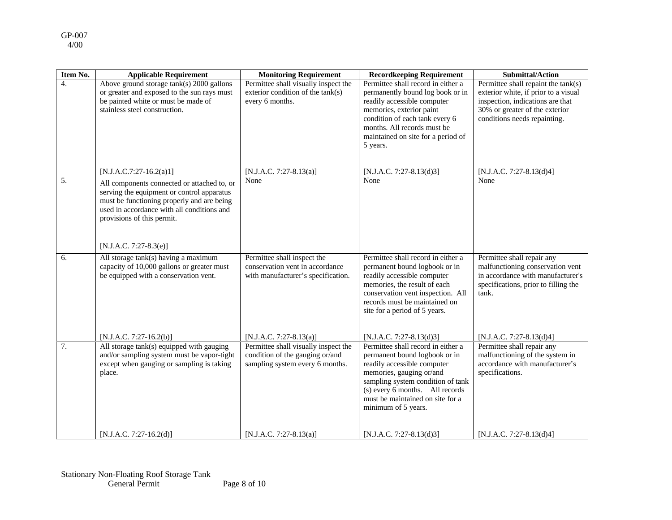| Item No.         | <b>Applicable Requirement</b>                                                                                                                                                                                                                 | <b>Monitoring Requirement</b>                                                                              | <b>Recordkeeping Requirement</b>                                                                                                                                                                                                                                  | <b>Submittal/Action</b>                                                                                                                                                           |
|------------------|-----------------------------------------------------------------------------------------------------------------------------------------------------------------------------------------------------------------------------------------------|------------------------------------------------------------------------------------------------------------|-------------------------------------------------------------------------------------------------------------------------------------------------------------------------------------------------------------------------------------------------------------------|-----------------------------------------------------------------------------------------------------------------------------------------------------------------------------------|
| $\overline{4}$ . | Above ground storage tank(s) 2000 gallons<br>or greater and exposed to the sun rays must<br>be painted white or must be made of<br>stainless steel construction.                                                                              | Permittee shall visually inspect the<br>exterior condition of the tank(s)<br>every 6 months.               | Permittee shall record in either a<br>permanently bound log book or in<br>readily accessible computer<br>memories, exterior paint<br>condition of each tank every 6<br>months. All records must be<br>maintained on site for a period of<br>5 years.              | Permittee shall repaint the tank(s)<br>exterior white, if prior to a visual<br>inspection, indications are that<br>30% or greater of the exterior<br>conditions needs repainting. |
|                  | $[N.J.A.C.7:27-16.2(a)1]$                                                                                                                                                                                                                     | [N.J.A.C. 7:27-8.13(a)]                                                                                    | [N.J.A.C. 7:27-8.13(d)3]                                                                                                                                                                                                                                          | [N.J.A.C. 7:27-8.13(d)4]                                                                                                                                                          |
| 5.               | All components connected or attached to, or<br>serving the equipment or control apparatus<br>must be functioning properly and are being<br>used in accordance with all conditions and<br>provisions of this permit.<br>[N.J.A.C. 7:27-8.3(e)] | None                                                                                                       | None                                                                                                                                                                                                                                                              | None                                                                                                                                                                              |
| 6.               | All storage tank(s) having a maximum<br>capacity of 10,000 gallons or greater must<br>be equipped with a conservation vent.                                                                                                                   | Permittee shall inspect the<br>conservation vent in accordance<br>with manufacturer's specification.       | Permittee shall record in either a<br>permanent bound logbook or in<br>readily accessible computer<br>memories, the result of each<br>conservation vent inspection. All<br>records must be maintained on<br>site for a period of 5 years.                         | Permittee shall repair any<br>malfunctioning conservation vent<br>in accordance with manufacturer's<br>specifications, prior to filling the<br>tank.                              |
|                  | $[N.J.A.C. 7:27-16.2(b)]$                                                                                                                                                                                                                     | [N.J.A.C. 7:27-8.13(a)]                                                                                    | [N.J.A.C. 7:27-8.13(d)3]                                                                                                                                                                                                                                          | [N.J.A.C. 7:27-8.13(d)4]                                                                                                                                                          |
| $\overline{7}$ . | All storage tank(s) equipped with gauging<br>and/or sampling system must be vapor-tight<br>except when gauging or sampling is taking<br>place.                                                                                                | Permittee shall visually inspect the<br>condition of the gauging or/and<br>sampling system every 6 months. | Permittee shall record in either a<br>permanent bound logbook or in<br>readily accessible computer<br>memories, gauging or/and<br>sampling system condition of tank<br>(s) every 6 months. All records<br>must be maintained on site for a<br>minimum of 5 years. | Permittee shall repair any<br>malfunctioning of the system in<br>accordance with manufacturer's<br>specifications.                                                                |
|                  | $[N.J.A.C. 7:27-16.2(d)]$                                                                                                                                                                                                                     | [N.J.A.C. 7:27-8.13(a)]                                                                                    | [N.J.A.C. 7:27-8.13(d)3]                                                                                                                                                                                                                                          | [N.J.A.C. 7:27-8.13(d)4]                                                                                                                                                          |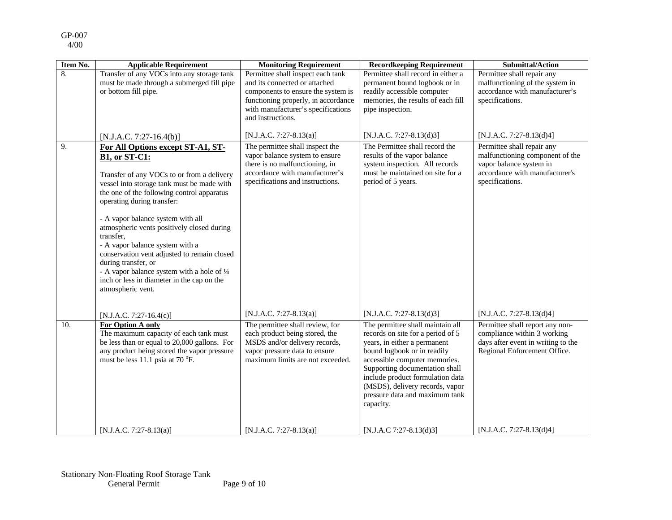| Item No. | <b>Applicable Requirement</b>                                                                                                                                                                                                                                                                                                                                                                                                                                                                                                                                | <b>Monitoring Requirement</b>                                                                                                                                                                              | <b>Recordkeeping Requirement</b>                                                                                                                                                                                                                                                                                              | <b>Submittal/Action</b>                                                                                                                       |
|----------|--------------------------------------------------------------------------------------------------------------------------------------------------------------------------------------------------------------------------------------------------------------------------------------------------------------------------------------------------------------------------------------------------------------------------------------------------------------------------------------------------------------------------------------------------------------|------------------------------------------------------------------------------------------------------------------------------------------------------------------------------------------------------------|-------------------------------------------------------------------------------------------------------------------------------------------------------------------------------------------------------------------------------------------------------------------------------------------------------------------------------|-----------------------------------------------------------------------------------------------------------------------------------------------|
| 8.       | Transfer of any VOCs into any storage tank<br>must be made through a submerged fill pipe<br>or bottom fill pipe.                                                                                                                                                                                                                                                                                                                                                                                                                                             | Permittee shall inspect each tank<br>and its connected or attached<br>components to ensure the system is<br>functioning properly, in accordance<br>with manufacturer's specifications<br>and instructions. | Permittee shall record in either a<br>permanent bound logbook or in<br>readily accessible computer<br>memories, the results of each fill<br>pipe inspection.                                                                                                                                                                  | Permittee shall repair any<br>malfunctioning of the system in<br>accordance with manufacturer's<br>specifications.                            |
|          | $[N.J.A.C. 7:27-16.4(b)]$                                                                                                                                                                                                                                                                                                                                                                                                                                                                                                                                    | [N.J.A.C. 7:27-8.13(a)]                                                                                                                                                                                    | [N.J.A.C. 7:27-8.13(d)3]                                                                                                                                                                                                                                                                                                      | [N.J.A.C. 7:27-8.13(d)4]                                                                                                                      |
| 9.       | For All Options except ST-A1, ST-<br><b>B1, or ST-C1:</b><br>Transfer of any VOCs to or from a delivery<br>vessel into storage tank must be made with<br>the one of the following control apparatus<br>operating during transfer:<br>- A vapor balance system with all<br>atmospheric vents positively closed during<br>transfer,<br>- A vapor balance system with a<br>conservation vent adjusted to remain closed<br>during transfer, or<br>- A vapor balance system with a hole of 1/4<br>inch or less in diameter in the cap on the<br>atmospheric vent. | The permittee shall inspect the<br>vapor balance system to ensure<br>there is no malfunctioning, in<br>accordance with manufacturer's<br>specifications and instructions.                                  | The Permittee shall record the<br>results of the vapor balance<br>system inspection. All records<br>must be maintained on site for a<br>period of 5 years.                                                                                                                                                                    | Permittee shall repair any<br>malfunctioning component of the<br>vapor balance system in<br>accordance with manufacturer's<br>specifications. |
|          | [N.J.A.C. 7:27-16.4(c)]                                                                                                                                                                                                                                                                                                                                                                                                                                                                                                                                      | [N.J.A.C. 7:27-8.13(a)]                                                                                                                                                                                    | [N.J.A.C. 7:27-8.13(d)3]                                                                                                                                                                                                                                                                                                      | [N.J.A.C. 7:27-8.13(d)4]                                                                                                                      |
| 10.      | For Option A only<br>The maximum capacity of each tank must<br>be less than or equal to 20,000 gallons. For<br>any product being stored the vapor pressure<br>must be less 11.1 psia at 70 °F.                                                                                                                                                                                                                                                                                                                                                               | The permittee shall review, for<br>each product being stored, the<br>MSDS and/or delivery records,<br>vapor pressure data to ensure<br>maximum limits are not exceeded.                                    | The permittee shall maintain all<br>records on site for a period of 5<br>years, in either a permanent<br>bound logbook or in readily<br>accessible computer memories.<br>Supporting documentation shall<br>include product formulation data<br>(MSDS), delivery records, vapor<br>pressure data and maximum tank<br>capacity. | Permittee shall report any non-<br>compliance within 3 working<br>days after event in writing to the<br>Regional Enforcement Office.          |
|          | [N.J.A.C. 7:27-8.13(a)]                                                                                                                                                                                                                                                                                                                                                                                                                                                                                                                                      | [N.J.A.C. 7:27-8.13(a)]                                                                                                                                                                                    | [N.J.A.C 7:27-8.13(d)3]                                                                                                                                                                                                                                                                                                       | [N.J.A.C. 7:27-8.13(d)4]                                                                                                                      |